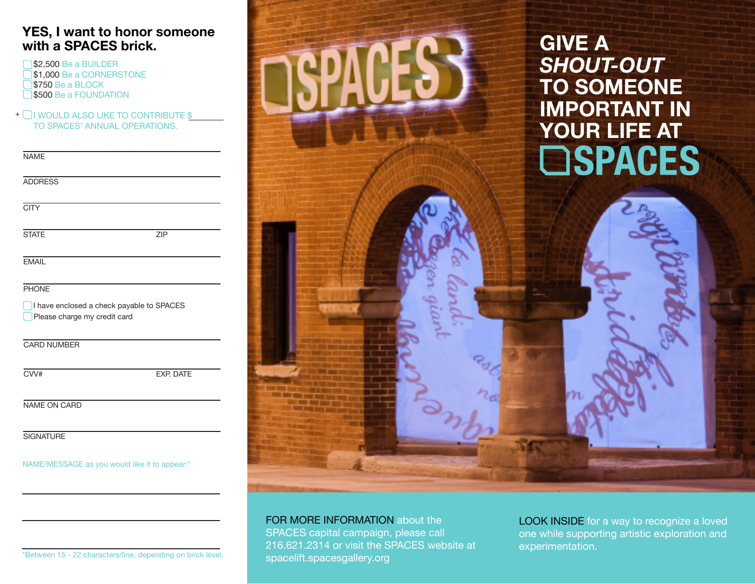## **YES, I want to honor someone with a SPACES brick.**

\$2,500 Be a BUILDER \$1,000 Be a CORNERSTONE **\$750 Be a BLOCK \$500 Be a FOUNDATION** 

 $+$   $\Box$  I would also like to contribute  $\S$ TO SPACES' ANNUAL OPERATIONS.

| <b>NAME</b>                                                               |                  |
|---------------------------------------------------------------------------|------------------|
| <b>ADDRESS</b>                                                            |                  |
| <b>CITY</b>                                                               |                  |
| <b>STATE</b>                                                              | <b>ZIP</b>       |
| <b>EMAIL</b>                                                              |                  |
| <b>PHONE</b>                                                              |                  |
| I have enclosed a check payable to SPACES<br>Please charge my credit card |                  |
| <b>CARD NUMBER</b>                                                        |                  |
| CVV#                                                                      | <b>EXP. DATE</b> |

NAME ON CARD

**SIGNATURE** 

NAME/MESSAGE as you would like it to appear:\*



FOR MORE INFORMATION about the SPACES capital campaign, please call 216.621.2314 or visit the SPACES website at spacelift.spacesgallery.org

LOOK INSIDE for a way to recognize a loved one while supporting artistic exploration and experimentation.